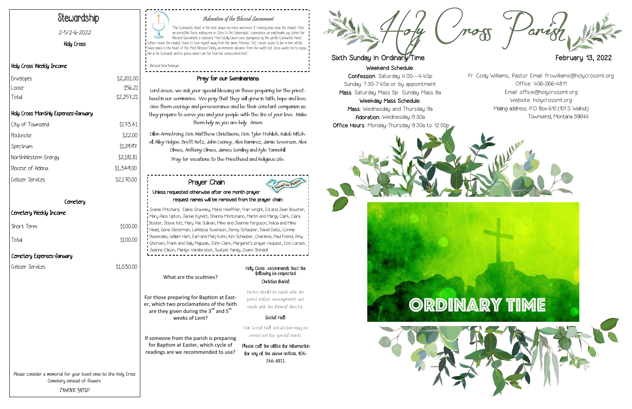Weekend Schedule:

Confession: Saturday 4:00—4:45p Sunday 7:30-7:45a or by appointment Mass: Saturday Mass 5p Sunday Mass 8a

"The Eucharistic Heart in the Host draws me more and more. If I merely pass near the chapel, I feel an irresistible force inviting me in. Close to the tabernacle, I experience an indefinable joy. When the Blessed Sacrament is exposed, I feel totally taken over, paralyzed, by this gentle Eucharistic Heart. When I leave the chapel, I have to tear myself away from the divine Prisoner. Yet, I never cease to live in him; all this takes place in the Heart of the Most Blessed Trinity, an immense distance from the earth; but Jesus wants me to enjoy him in his Eucharist and to grieve when I am far from his consecrated Host"

> Weekday Mass Schedule: Mass: Wednesday and Thursday 9a Adoration: Wednesday 9:30a Office Hours: Monday-Thursday 9:30a to 12:00p







# Adoration of the Blessed Sacrament

| \$2,201.00 |
|------------|
| \$56.21    |
| \$2,257.21 |
|            |

- Blessed Dina Belanger

# Stewardship

#### 2-5/2-6-2022

Holy Cross

#### Holy Cross Weekly Income

## Holy Cross Monthly Expenses-January

| City of Townsend    | \$173.41   |
|---------------------|------------|
| Flocknote           | \$22.00    |
| Spectrum            | \$129.97   |
| NorthWestern Energy | \$2,181.81 |
| Diocese of Heleng   | \$1,349.00 |
| Geisser Services    | \$2,170.00 |

#### **Cemetery**

 $$100.00$ 

#### Cemetery Weekly Income

Total \$100.00

## Pray for our Seminarians

Lord Jesus, we ask your special blessing on those preparing for the priesthood in our seminaries. We pray that they will grow in faith, hope and love. Give them courage and perseverance and be their constant companion as they prepare to serve you and your people with the fire of your love. Make them holy as you are holy. Amen.

Dillon Armstrong, Dcn. Matthew Christiaens, Dcn. Tyler Frohlich, Kaleb Mitchell, Riley Helgoe, Brett Rotz, John Cooney, Alex Ramirez, Jamie Severson, Alex Olmes, Anthony Olmes, James Semling and Kyle Tannehill. Pray for vocations to the Priesthood and Religious Life.

Please consider a memorial for your loved ones to the Holy Cross

Cemetery instead of flowers. **THANK YOU!**

What are the scutinies?

For those preparing for Baptism at Easter, which two proclamations of the faith are they given during the  $3^{rd}$  and  $5^{th}$ weeks of Lent?

If someone from the parish is preparing for Baptism at Easter, which cycle of readings are we recommended to use?

#### Holy Cross recommends that the following be respected: Christian Burial:

Notice should be made with the priest before arrangements are made with the funeral director.

#### Social Hall:

Our Social Hall and kitchen may be rented out for special events.

Please call the office for information for any of the above notices, 406- 266-4811.



# Sixth Sunday in Ordinary Time **February 13, 2022**

#### Prayer Chain Unless requested otherwise after one month prayer request names will be removed from the prayer chain:

Joanie Pritchard, Elaine Graveley, Marie Hoeffner, Fran Wright, Ed and Jean Boucher, Mary Alice Upton, Jackie Kynett, Shanna Montonario, Martin and Margy Clark, Clara Boster, Steve Kitt, Mary Pat Sullivan, Mike and Jeannie Ferguson, Felicia and Mike Head, Gene Determan, LaReissa Swenson, Jenny Schauber, David Deitz, Connie Rezendes, William Hart, Earl and Marj Kohn, Kim Schauber, Charlene, Paul Friend, Amy Ghorsen, Frank and Sally Majszak, John Clark, Margaret's prayer request, Don Larsen, Jeanne Ellison, Marilyn Vandersloot, Switzer family, Joann Shindoll

Fr. Cody Williams, Pastor Email: frcwilliams@holycrossmt.org Office: 406-266-4811 Email: office@holycrossmt.org Website: holycrossmt.org Mailing address: P.O. Box 610 (101 S. Walnut) Townsend, Montana 59644

## Cemetery Expenses-January

Geisser Services  $$1,030.00$